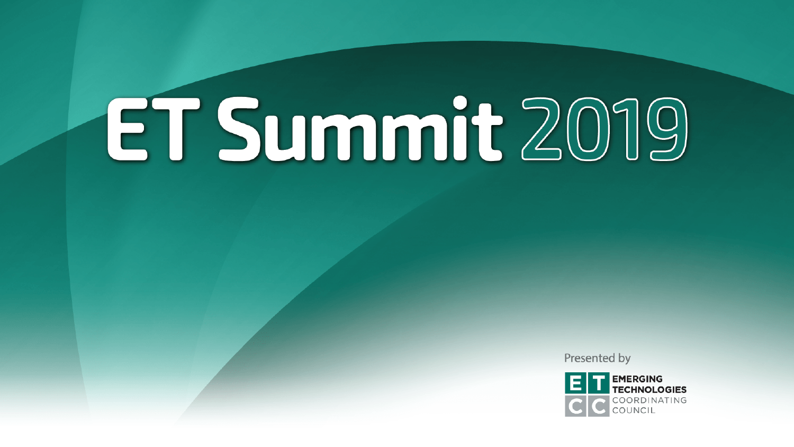Presented by

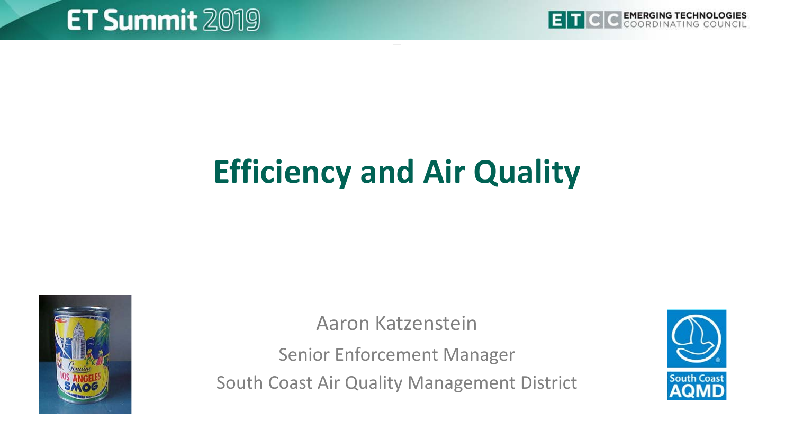

# **Efficiency and Air Quality**



Aaron Katzenstein

Senior Enforcement Manager South Coast Air Quality Management District

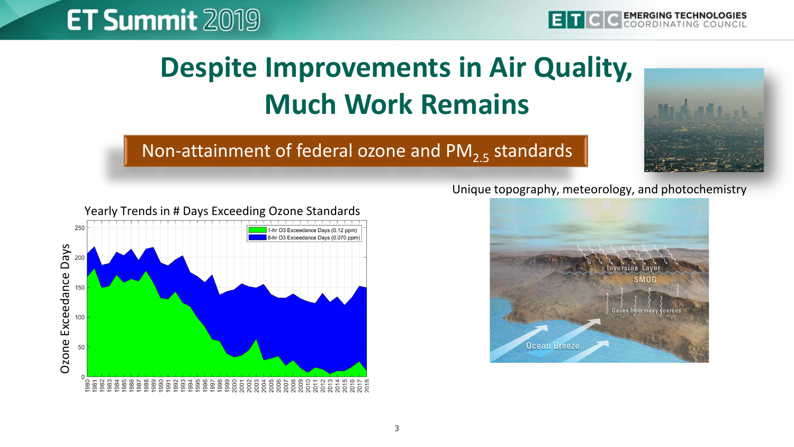

## **Despite Improvements in Air Quality, Much Work Remains**

#### Non-attainment of federal ozone and  $PM_{2.5}$  standards





#### Unique topography, meteorology, and photochemistry

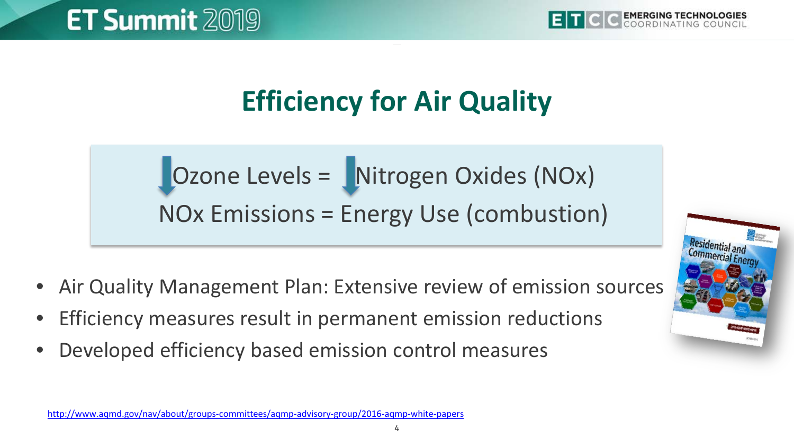

### **Efficiency for Air Quality**

 $\bigcup$  Ozone Levels =  $\bigcup$  Nitrogen Oxides (NOx) NOx Emissions = Energy Use (combustion)

- Air Quality Management Plan: Extensive review of emission sources
- Efficiency measures result in permanent emission reductions
- Developed efficiency based emission control measures



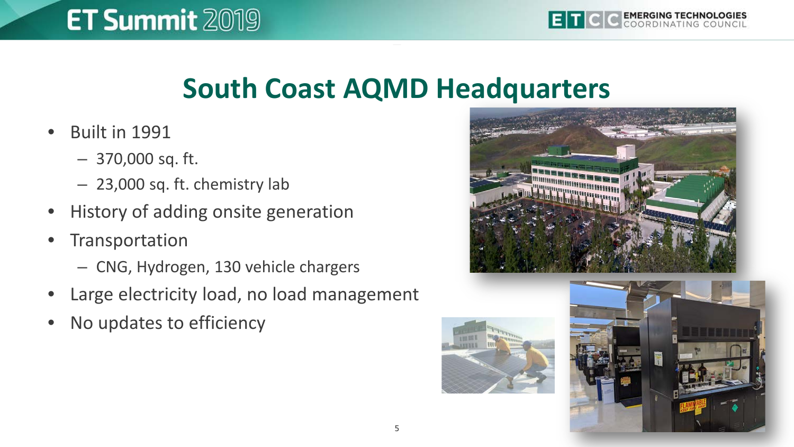#### **South Coast AQMD Headquarters**

- Built in 1991
	- 370,000 sq. ft.
	- 23,000 sq. ft. chemistry lab
- History of adding onsite generation
- **Transportation** 
	- CNG, Hydrogen, 130 vehicle chargers
- Large electricity load, no load management
- No updates to efficiency





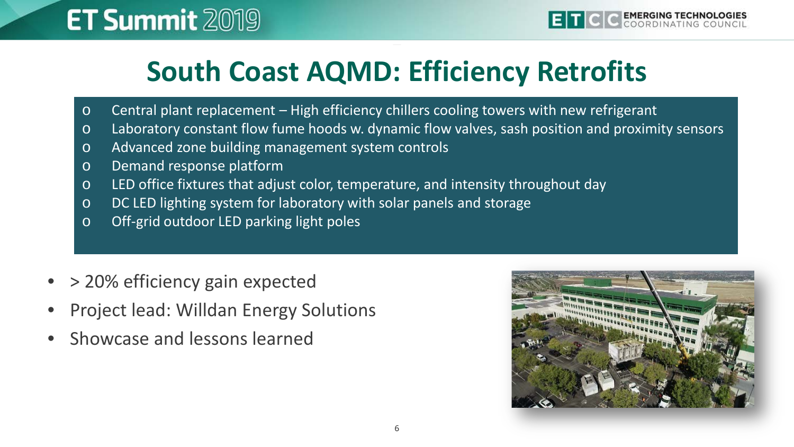#### **South Coast AQMD: Efficiency Retrofits**

- o Central plant replacement High efficiency chillers cooling towers with new refrigerant
- o Laboratory constant flow fume hoods w. dynamic flow valves, sash position and proximity sensors
- o Advanced zone building management system controls
- o Demand response platform
- o LED office fixtures that adjust color, temperature, and intensity throughout day
- o DC LED lighting system for laboratory with solar panels and storage
- o Off-grid outdoor LED parking light poles
- > 20% efficiency gain expected
- Project lead: Willdan Energy Solutions
- Showcase and lessons learned

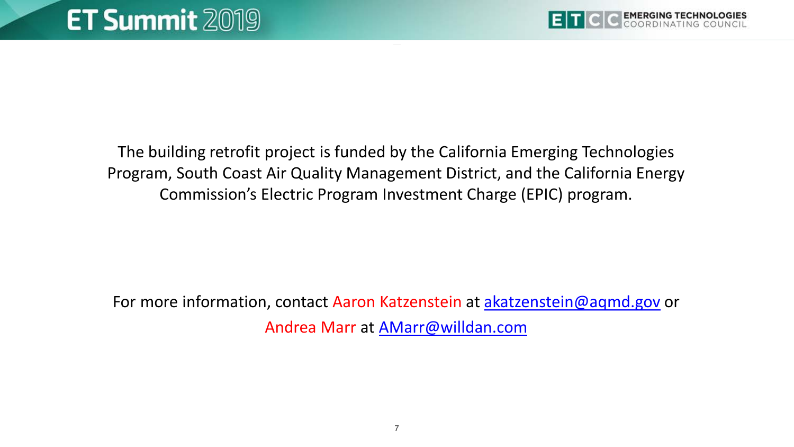

The building retrofit project is funded by the California Emerging Technologies Program, South Coast Air Quality Management District, and the California Energy Commission's Electric Program Investment Charge (EPIC) program.

For more information, contact Aaron Katzenstein at [akatzenstein@aqmd.gov](mailto:akatzenstein@aqmd.gov) or Andrea Marr at [AMarr@willdan.com](mailto:AMarr@willdan.com)